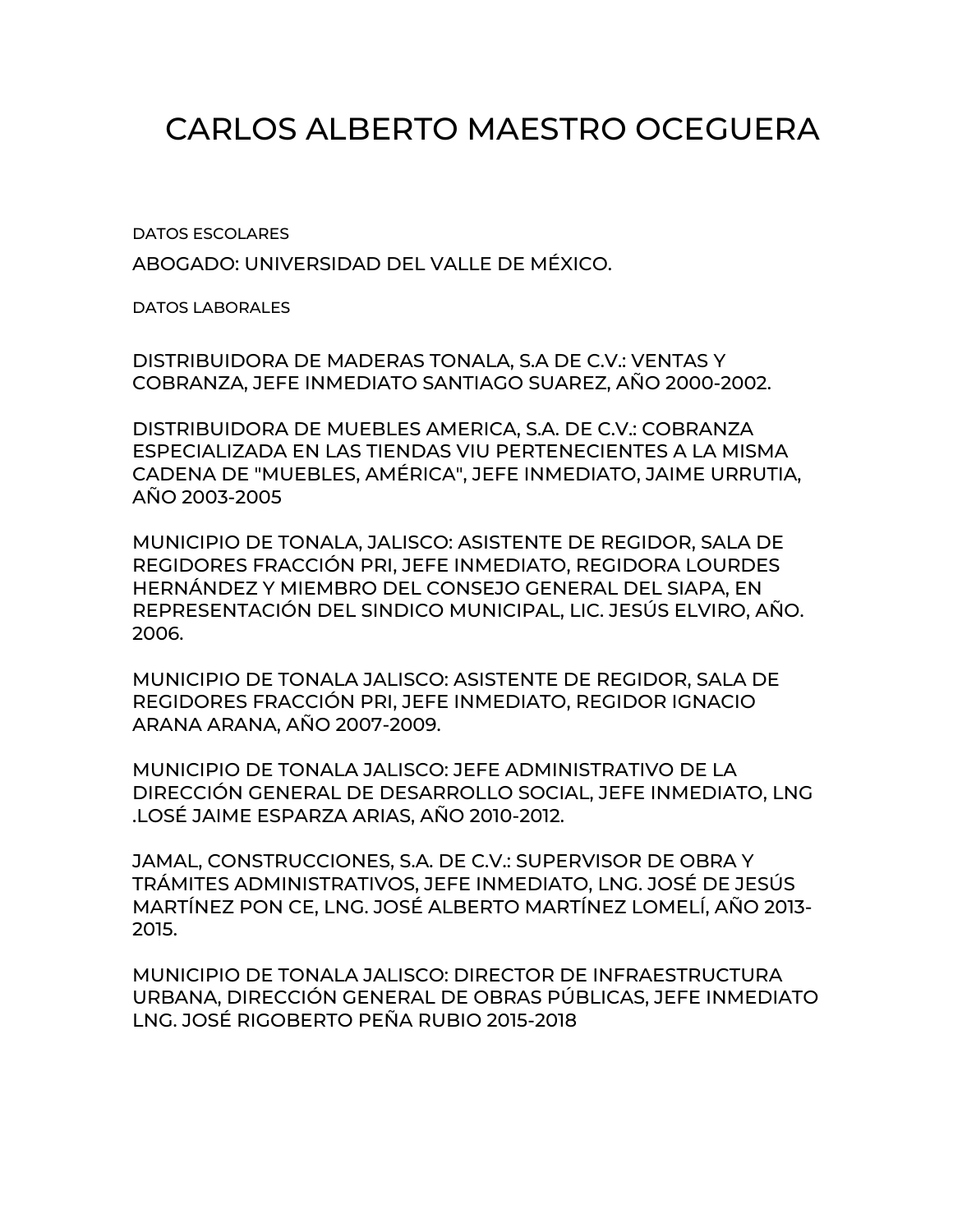## CARLOS ALBERTO MAESTRO OCEGUERA

DATOS ESCOLARES

ABOGADO: UNIVERSIDAD DEL VALLE DE MÉXICO.

DATOS LABORALES

DISTRIBUIDORA DE MADERAS TONALA, S.A DE C.V.: VENTAS Y COBRANZA, JEFE INMEDIATO SANTIAGO SUAREZ, AÑO 2000-2002.

DISTRIBUIDORA DE MUEBLES AMERICA, S.A. DE C.V.: COBRANZA ESPECIALIZADA EN LAS TIENDAS VIU PERTENECIENTES A LA MISMA CADENA DE "MUEBLES, AMÉRICA", JEFE INMEDIATO, JAIME URRUTIA, AÑO 2003-2005

MUNICIPIO DE TONALA, JALISCO: ASISTENTE DE REGIDOR, SALA DE REGIDORES FRACCIÓN PRI, JEFE INMEDIATO, REGIDORA LOURDES HERNÁNDEZ Y MIEMBRO DEL CONSEJO GENERAL DEL SIAPA, EN REPRESENTACIÓN DEL SINDICO MUNICIPAL, LIC. JESÚS ELVIRO, AÑO. 2006.

MUNICIPIO DE TONALA JALISCO: ASISTENTE DE REGIDOR, SALA DE REGIDORES FRACCIÓN PRI, JEFE INMEDIATO, REGIDOR IGNACIO ARANA ARANA, AÑO 2007-2009.

MUNICIPIO DE TONALA JALISCO: JEFE ADMINISTRATIVO DE LA DIRECCIÓN GENERAL DE DESARROLLO SOCIAL, JEFE INMEDIATO, LNG .LOSÉ JAIME ESPARZA ARIAS, AÑO 2010-2012.

JAMAL, CONSTRUCCIONES, S.A. DE C.V.: SUPERVISOR DE OBRA Y TRÁMITES ADMINISTRATIVOS, JEFE INMEDIATO, LNG. JOSÉ DE JESÚS MARTÍNEZ PON CE, LNG. JOSÉ ALBERTO MARTÍNEZ LOMELÍ, AÑO 2013- 2015.

MUNICIPIO DE TONALA JALISCO: DIRECTOR DE INFRAESTRUCTURA URBANA, DIRECCIÓN GENERAL DE OBRAS PÚBLICAS, JEFE INMEDIATO LNG. JOSÉ RIGOBERTO PEÑA RUBIO 2015-2018